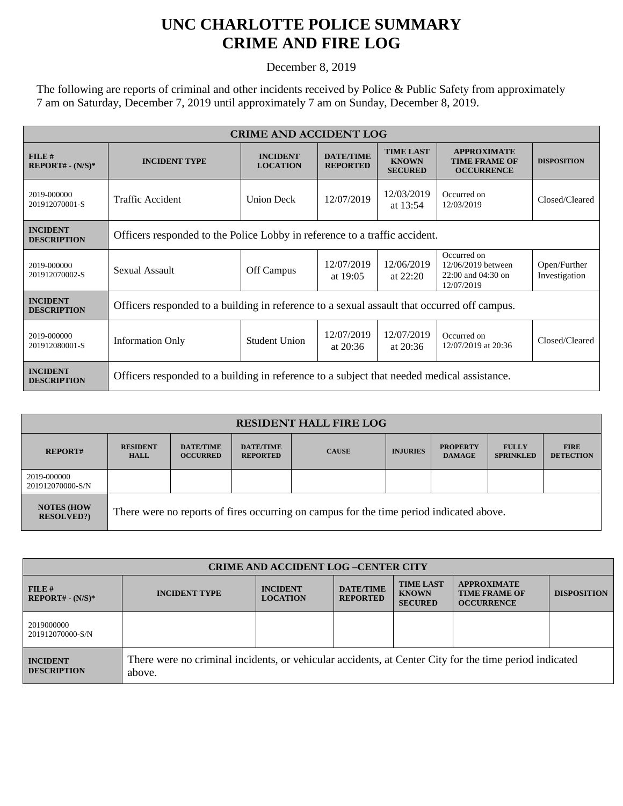## **UNC CHARLOTTE POLICE SUMMARY CRIME AND FIRE LOG**

December 8, 2019

The following are reports of criminal and other incidents received by Police & Public Safety from approximately 7 am on Saturday, December 7, 2019 until approximately 7 am on Sunday, December 8, 2019.

| <b>CRIME AND ACCIDENT LOG</b>         |                                                                                             |                                    |                                     |                                                    |                                                                       |                               |  |
|---------------------------------------|---------------------------------------------------------------------------------------------|------------------------------------|-------------------------------------|----------------------------------------------------|-----------------------------------------------------------------------|-------------------------------|--|
| FILE#<br>$REPORT# - (N/S)*$           | <b>INCIDENT TYPE</b>                                                                        | <b>INCIDENT</b><br><b>LOCATION</b> | <b>DATE/TIME</b><br><b>REPORTED</b> | <b>TIME LAST</b><br><b>KNOWN</b><br><b>SECURED</b> | <b>APPROXIMATE</b><br><b>TIME FRAME OF</b><br><b>OCCURRENCE</b>       | <b>DISPOSITION</b>            |  |
| 2019-000000<br>201912070001-S         | <b>Traffic Accident</b>                                                                     | <b>Union Deck</b>                  | 12/07/2019                          | 12/03/2019<br>at 13:54                             | Occurred on<br>12/03/2019                                             | Closed/Cleared                |  |
| <b>INCIDENT</b><br><b>DESCRIPTION</b> | Officers responded to the Police Lobby in reference to a traffic accident.                  |                                    |                                     |                                                    |                                                                       |                               |  |
| 2019-000000<br>201912070002-S         | Sexual Assault                                                                              | Off Campus                         | 12/07/2019<br>at $19:05$            | 12/06/2019<br>at $22:20$                           | Occurred on<br>12/06/2019 between<br>22:00 and 04:30 on<br>12/07/2019 | Open/Further<br>Investigation |  |
| <b>INCIDENT</b><br><b>DESCRIPTION</b> | Officers responded to a building in reference to a sexual assault that occurred off campus. |                                    |                                     |                                                    |                                                                       |                               |  |
| 2019-000000<br>201912080001-S         | <b>Information Only</b>                                                                     | <b>Student Union</b>               | 12/07/2019<br>at $20:36$            | 12/07/2019<br>at $20:36$                           | Occurred on<br>12/07/2019 at 20:36                                    | Closed/Cleared                |  |
| <b>INCIDENT</b><br><b>DESCRIPTION</b> | Officers responded to a building in reference to a subject that needed medical assistance.  |                                    |                                     |                                                    |                                                                       |                               |  |

| <b>RESIDENT HALL FIRE LOG</b>          |                                                                                         |                                     |                                     |              |                 |                                  |                                  |                                 |
|----------------------------------------|-----------------------------------------------------------------------------------------|-------------------------------------|-------------------------------------|--------------|-----------------|----------------------------------|----------------------------------|---------------------------------|
| <b>REPORT#</b>                         | <b>RESIDENT</b><br><b>HALL</b>                                                          | <b>DATE/TIME</b><br><b>OCCURRED</b> | <b>DATE/TIME</b><br><b>REPORTED</b> | <b>CAUSE</b> | <b>INJURIES</b> | <b>PROPERTY</b><br><b>DAMAGE</b> | <b>FULLY</b><br><b>SPRINKLED</b> | <b>FIRE</b><br><b>DETECTION</b> |
| 2019-000000<br>201912070000-S/N        |                                                                                         |                                     |                                     |              |                 |                                  |                                  |                                 |
| <b>NOTES (HOW</b><br><b>RESOLVED?)</b> | There were no reports of fires occurring on campus for the time period indicated above. |                                     |                                     |              |                 |                                  |                                  |                                 |

| <b>CRIME AND ACCIDENT LOG -CENTER CITY</b> |                                                                                                                  |                                    |                                     |                                                    |                                                                 |                    |  |
|--------------------------------------------|------------------------------------------------------------------------------------------------------------------|------------------------------------|-------------------------------------|----------------------------------------------------|-----------------------------------------------------------------|--------------------|--|
| $FILE$ #<br>$REPORT# - (N/S)*$             | <b>INCIDENT TYPE</b>                                                                                             | <b>INCIDENT</b><br><b>LOCATION</b> | <b>DATE/TIME</b><br><b>REPORTED</b> | <b>TIME LAST</b><br><b>KNOWN</b><br><b>SECURED</b> | <b>APPROXIMATE</b><br><b>TIME FRAME OF</b><br><b>OCCURRENCE</b> | <b>DISPOSITION</b> |  |
| 2019000000<br>201912070000-S/N             |                                                                                                                  |                                    |                                     |                                                    |                                                                 |                    |  |
| <b>INCIDENT</b><br><b>DESCRIPTION</b>      | There were no criminal incidents, or vehicular accidents, at Center City for the time period indicated<br>above. |                                    |                                     |                                                    |                                                                 |                    |  |